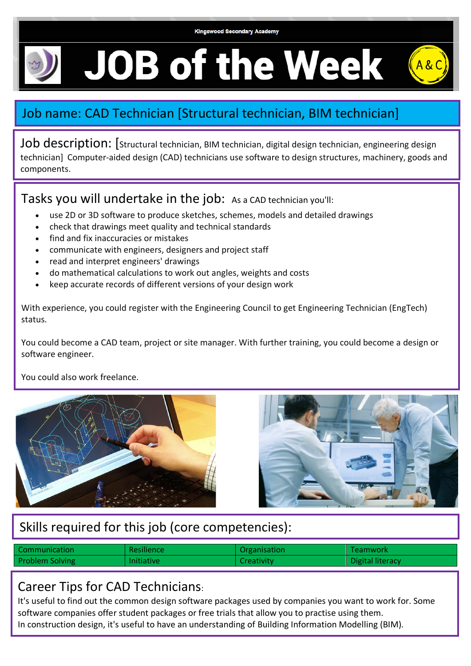**Kingswood Secondary Academy** 

# **JOB of the Week**

## Job name: CAD Technician [Structural technician, BIM technician]

Job description: [Structural technician, BIM technician, digital design technician, engineering design technician] Computer-aided design (CAD) technicians use software to design structures, machinery, goods and components.

Tasks you will undertake in the job: As a CAD technician you'll:

- use 2D or 3D software to produce sketches, schemes, models and detailed drawings
- check that drawings meet quality and technical standards
- find and fix inaccuracies or mistakes
- communicate with engineers, designers and project staff
- read and interpret engineers' drawings
- do mathematical calculations to work out angles, weights and costs
- keep accurate records of different versions of your design work

With experience, you could register with the Engineering Council to get Engineering Technician (EngTech) status.

You could become a CAD team, project or site manager. With further training, you could become a design or software engineer.

You could also work freelance.





## Skills required for this job (core competencies):

| Communication          | <b>Resilience</b> | Organisation | <b>Teamwork</b>  |
|------------------------|-------------------|--------------|------------------|
| <b>Problem Solving</b> | <b>Initiative</b> | Creativity   | Digital literacy |

### Career Tips for CAD Technicians:

It's useful to find out the common design software packages used by companies you want to work for. Some software companies offer student packages or free trials that allow you to practise using them. In construction design, it's useful to have an understanding of Building Information Modelling (BIM).